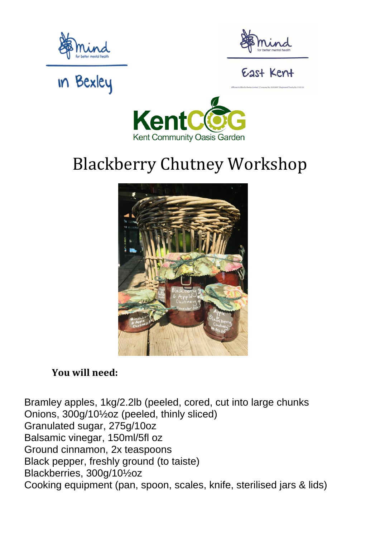



#### East Kent

## **in Bexley**



### Blackberry Chutney Workshop



#### **You will need:**

[Bramley apples,](https://www.bbc.co.uk/food/bramley_apple) 1kg/2.2lb (peeled, cored, cut into large chunks [Onions,](https://www.bbc.co.uk/food/onion) 300g/10½oz (peeled, thinly sliced) Granulated [sugar,](https://www.bbc.co.uk/food/sugar) 275g/10oz [Balsamic vinegar,](https://www.bbc.co.uk/food/balsamic_vinegar) 150ml/5fl oz Ground [cinnamon,](https://www.bbc.co.uk/food/cinnamon) 2x teaspoons [Black pepper,](https://www.bbc.co.uk/food/black_pepper) freshly ground (to taiste) [Blackberries,](https://www.bbc.co.uk/food/blackberry) 300g/10½oz Cooking equipment (pan, spoon, scales, knife, sterilised jars & lids)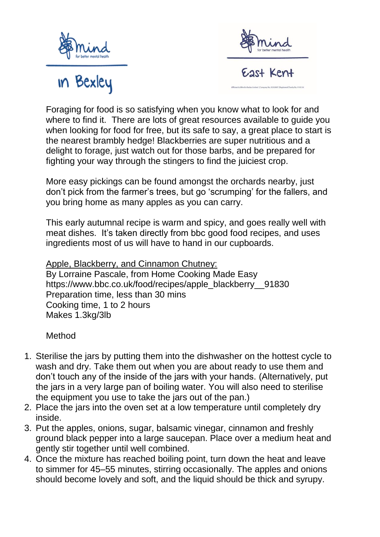





Foraging for food is so satisfying when you know what to look for and where to find it. There are lots of great resources available to guide you when looking for food for free, but its safe to say, a great place to start is the nearest brambly hedge! Blackberries are super nutritious and a delight to forage, just watch out for those barbs, and be prepared for fighting your way through the stingers to find the juiciest crop.

More easy pickings can be found amongst the orchards nearby, just don't pick from the farmer's trees, but go 'scrumping' for the fallers, and you bring home as many apples as you can carry.

This early autumnal recipe is warm and spicy, and goes really well with meat dishes. It's taken directly from bbc good food recipes, and uses ingredients most of us will have to hand in our cupboards.

Apple, Blackberry, and Cinnamon Chutney:

By [Lorraine Pascale,](https://www.bbc.co.uk/food/chefs/lorraine_pascale) from [Home Cooking Made Easy](https://www.bbc.co.uk/food/programmes/b015fpxs) [https://www.bbc.co.uk/food/recipes/apple\\_blackberry\\_\\_91830](https://www.bbc.co.uk/food/recipes/apple_blackberry__91830) Preparation time, less than 30 mins Cooking time, 1 to 2 hours Makes 1.3kg/3lb

#### Method

- 1. Sterilise the jars by putting them into the dishwasher on the hottest cycle to wash and dry. Take them out when you are about ready to use them and don't touch any of the inside of the jars with your hands. (Alternatively, put the jars in a very large pan of boiling water. You will also need to sterilise the equipment you use to take the jars out of the pan.)
- 2. Place the jars into the oven set at a low temperature until completely dry inside.
- 3. Put the apples, onions, sugar, balsamic vinegar, cinnamon and freshly ground black pepper into a large saucepan. Place over a medium heat and gently stir together until well combined.
- 4. Once the mixture has reached boiling point, turn down the heat and leave to simmer for 45–55 minutes, stirring occasionally. The apples and onions should become lovely and soft, and the liquid should be thick and syrupy.